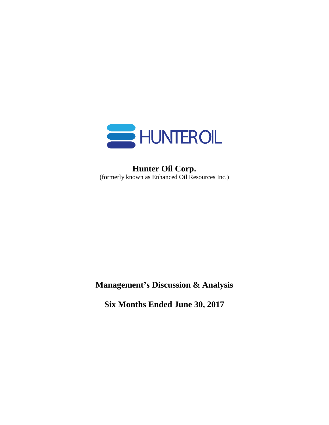

# **Hunter Oil Corp.** (formerly known as Enhanced Oil Resources Inc.)

**Management's Discussion & Analysis**

**Six Months Ended June 30, 2017**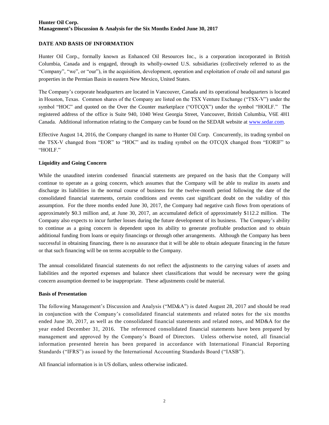# **DATE AND BASIS OF INFORMATION**

Hunter Oil Corp., formally known as Enhanced Oil Resources Inc., is a corporation incorporated in British Columbia, Canada and is engaged, through its wholly-owned U.S. subsidiaries (collectively referred to as the "Company", "we", or "our"), in the acquisition, development, operation and exploitation of crude oil and natural gas properties in the Permian Basin in eastern New Mexico, United States.

The Company's corporate headquarters are located in Vancouver, Canada and its operational headquarters is located in Houston, Texas. Common shares of the Company are listed on the TSX Venture Exchange ("TSX-V") under the symbol "HOC" and quoted on the Over the Counter marketplace ("OTCQX") under the symbol "HOILF." The registered address of the office is Suite 940, 1040 West Georgia Street, Vancouver, British Columbia, V6E 4H1 Canada. Additional information relating to the Company can be found on the SEDAR website at [www.sedar.com.](http://www.sedar.com/)

Effective August 14, 2016, the Company changed its name to Hunter Oil Corp. Concurrently, its trading symbol on the TSX-V changed from "EOR" to "HOC" and its trading symbol on the OTCQX changed from "EORIF" to "HOILF."

# **Liquidity and Going Concern**

While the unaudited interim condensed financial statements are prepared on the basis that the Company will continue to operate as a going concern, which assumes that the Company will be able to realize its assets and discharge its liabilities in the normal course of business for the twelve-month period following the date of the consolidated financial statements, certain conditions and events cast significant doubt on the validity of this assumption. For the three months ended June 30, 2017, the Company had negative cash flows from operations of approximately \$0.3 million and, at June 30, 2017, an accumulated deficit of approximately \$112.2 million. The Company also expects to incur further losses during the future development of its business. The Company's ability to continue as a going concern is dependent upon its ability to generate profitable production and to obtain additional funding from loans or equity financings or through other arrangements. Although the Company has been successful in obtaining financing, there is no assurance that it will be able to obtain adequate financing in the future or that such financing will be on terms acceptable to the Company.

The annual consolidated financial statements do not reflect the adjustments to the carrying values of assets and liabilities and the reported expenses and balance sheet classifications that would be necessary were the going concern assumption deemed to be inappropriate. These adjustments could be material.

# **Basis of Presentation**

The following Management's Discussion and Analysis ("MD&A") is dated August 28, 2017 and should be read in conjunction with the Company's consolidated financial statements and related notes for the six months ended June 30, 2017, as well as the consolidated financial statements and related notes, and MD&A for the year ended December 31, 2016. The referenced consolidated financial statements have been prepared by management and approved by the Company's Board of Directors. Unless otherwise noted, all financial information presented herein has been prepared in accordance with International Financial Reporting Standards ("IFRS") as issued by the International Accounting Standards Board ("IASB").

All financial information is in US dollars, unless otherwise indicated.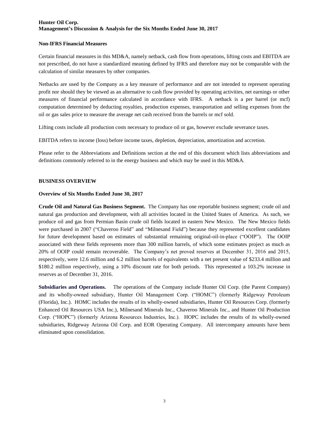#### **Non-IFRS Financial Measures**

Certain financial measures in this MD&A, namely netback, cash flow from operations, lifting costs and EBITDA are not prescribed, do not have a standardized meaning defined by IFRS and therefore may not be comparable with the calculation of similar measures by other companies.

Netbacks are used by the Company as a key measure of performance and are not intended to represent operating profit nor should they be viewed as an alternative to cash flow provided by operating activities, net earnings or other measures of financial performance calculated in accordance with IFRS. A netback is a per barrel (or mcf) computation determined by deducting royalties, production expenses, transportation and selling expenses from the oil or gas sales price to measure the average net cash received from the barrels or mcf sold.

Lifting costs include all production costs necessary to produce oil or gas, however exclude severance taxes.

EBITDA refers to income (loss) before income taxes, depletion, depreciation, amortization and accretion.

Please refer to the Abbreviations and Definitions section at the end of this document which lists abbreviations and definitions commonly referred to in the energy business and which may be used in this MD&A.

#### **BUSINESS OVERVIEW**

#### **Overview of Six Months Ended June 30, 2017**

**Crude Oil and Natural Gas Business Segment.** The Company has one reportable business segment; crude oil and natural gas production and development, with all activities located in the United States of America. As such, we produce oil and gas from Permian Basin crude oil fields located in eastern New Mexico. The New Mexico fields were purchased in 2007 ("Chaveroo Field" and "Milnesand Field") because they represented excellent candidates for future development based on estimates of substantial remaining original-oil-in-place ("OOIP"). The OOIP associated with these fields represents more than 300 million barrels, of which some estimates project as much as 20% of OOIP could remain recoverable. The Company's net proved reserves at December 31, 2016 and 2015, respectively, were 12.6 million and 6.2 million barrels of equivalents with a net present value of \$233.4 million and \$180.2 million respectively, using a 10% discount rate for both periods. This represented a 103.2% increase in reserves as of December 31, 2016.

**Subsidiaries and Operations.** The operations of the Company include Hunter Oil Corp. (the Parent Company) and its wholly-owned subsidiary, Hunter Oil Management Corp. ("HOMC") (formerly Ridgeway Petroleum (Florida), Inc.). HOMC includes the results of its wholly-owned subsidiaries, Hunter Oil Resources Corp. (formerly Enhanced Oil Resources USA Inc.), Milnesand Minerals Inc., Chaveroo Minerals Inc., and Hunter Oil Production Corp. ("HOPC") (formerly Arizona Resources Industries, Inc.). HOPC includes the results of its wholly-owned subsidiaries, Ridgeway Arizona Oil Corp. and EOR Operating Company. All intercompany amounts have been eliminated upon consolidation.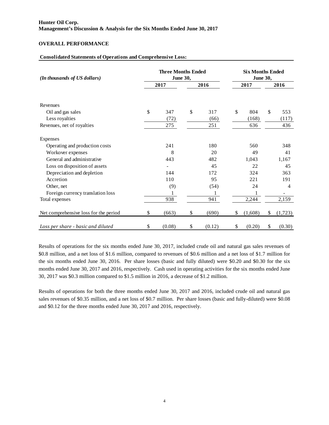# **OVERALL PERFORMANCE**

#### **Consolidated Statements of Operations and Comprehensive Loss:**

| (In thousands of US dollars)          | <b>Three Months Ended</b><br>June 30, |    | <b>Six Months Ended</b><br><b>June 30,</b> |    |         |    |                |  |
|---------------------------------------|---------------------------------------|----|--------------------------------------------|----|---------|----|----------------|--|
|                                       | 2017                                  |    | 2016                                       |    | 2017    |    | 2016           |  |
| Revenues                              |                                       |    |                                            |    |         |    |                |  |
| Oil and gas sales                     | \$<br>347                             | \$ | 317                                        | \$ | 804     | \$ | 553            |  |
| Less royalties                        | (72)                                  |    | (66)                                       |    | (168)   |    | (117)          |  |
| Revenues, net of royalties            | 275                                   |    | 251                                        |    | 636     |    | 436            |  |
| Expenses                              |                                       |    |                                            |    |         |    |                |  |
| Operating and production costs        | 241                                   |    | 180                                        |    | 560     |    | 348            |  |
| Workover expenses                     | 8                                     |    | 20                                         |    | 49      |    | 41             |  |
| General and administrative            | 443                                   |    | 482                                        |    | 1,043   |    | 1,167          |  |
| Loss on disposition of assets         |                                       |    | 45                                         |    | 22      |    | 45             |  |
| Depreciation and depletion            | 144                                   |    | 172                                        |    | 324     |    | 363            |  |
| Accretion                             | 110                                   |    | 95                                         |    | 221     |    | 191            |  |
| Other, net                            | (9)                                   |    | (54)                                       |    | 24      |    | $\overline{4}$ |  |
| Foreign currency translation loss     |                                       |    |                                            |    | 1       |    |                |  |
| Total expenses                        | 938                                   |    | 941                                        |    | 2,244   |    | 2,159          |  |
| Net comprehensive loss for the period | \$<br>(663)                           | \$ | (690)                                      | \$ | (1,608) | \$ | (1,723)        |  |
| Loss per share - basic and diluted    | \$<br>(0.08)                          | \$ | (0.12)                                     | \$ | (0.20)  | \$ | (0.30)         |  |

Results of operations for the six months ended June 30, 2017, included crude oil and natural gas sales revenues of \$0.8 million, and a net loss of \$1.6 million, compared to revenues of \$0.6 million and a net loss of \$1.7 million for the six months ended June 30, 2016. Per share losses (basic and fully diluted) were \$0.20 and \$0.30 for the six months ended June 30, 2017 and 2016, respectively. Cash used in operating activities for the six months ended June 30, 2017 was \$0.3 million compared to \$1.5 million in 2016, a decrease of \$1.2 million.

Results of operations for both the three months ended June 30, 2017 and 2016, included crude oil and natural gas sales revenues of \$0.35 million, and a net loss of \$0.7 million. Per share losses (basic and fully-diluted) were \$0.08 and \$0.12 for the three months ended June 30, 2017 and 2016, respectively.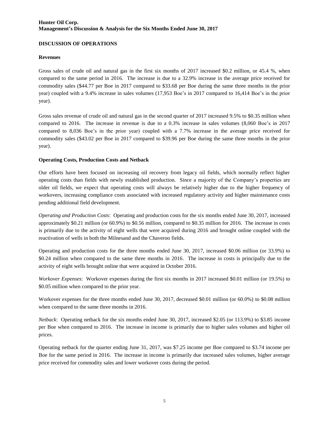# **DISCUSSION OF OPERATIONS**

# **Revenues**

Gross sales of crude oil and natural gas in the first six months of 2017 increased \$0.2 million, or 45.4 %, when compared to the same period in 2016. The increase is due to a 32.9% increase in the average price received for commodity sales (\$44.77 per Boe in 2017 compared to \$33.68 per Boe during the same three months in the prior year) coupled with a 9.4% increase in sales volumes (17,953 Boe's in 2017 compared to 16,414 Boe's in the prior year).

Gross sales revenue of crude oil and natural gas in the second quarter of 2017 increased 9.5% to \$0.35 million when compared to 2016. The increase in revenue is due to a 0.3% increase in sales volumes (8,060 Boe's in 2017 compared to 8,036 Boe's in the prior year) coupled with a 7.7% increase in the average price received for commodity sales (\$43.02 per Boe in 2017 compared to \$39.96 per Boe during the same three months in the prior year).

# **Operating Costs, Production Costs and Netback**

Our efforts have been focused on increasing oil recovery from legacy oil fields, which normally reflect higher operating costs than fields with newly established production. Since a majority of the Company's properties are older oil fields, we expect that operating costs will always be relatively higher due to the higher frequency of workovers, increasing compliance costs associated with increased regulatory activity and higher maintenance costs pending additional field development.

*Operating and Production Costs*: Operating and production costs for the six months ended June 30, 2017, increased approximately \$0.21 million (or 60.9%) to \$0.56 million, compared to \$0.35 million for 2016. The increase in costs is primarily due to the activity of eight wells that were acquired during 2016 and brought online coupled with the reactivation of wells in both the Milnesand and the Chaveroo fields.

Operating and production costs for the three months ended June 30, 2017, increased \$0.06 million (or 33.9%) to \$0.24 million when compared to the same three months in 2016. The increase in costs is principally due to the activity of eight wells brought online that were acquired in October 2016.

*Workover Expenses*: Workover expenses during the first six months in 2017 increased \$0.01 million (or 19.5%) to \$0.05 million when compared to the prior year.

Workover expenses for the three months ended June 30, 2017, decreased \$0.01 million (or 60.0%) to \$0.08 million when compared to the same three months in 2016.

*Netback*: Operating netback for the six months ended June 30, 2017, increased \$2.05 (or 113.9%) to \$3.85 income per Boe when compared to 2016. The increase in income is primarily due to higher sales volumes and higher oil prices.

Operating netback for the quarter ending June 31, 2017, was \$7.25 income per Boe compared to \$3.74 income per Boe for the same period in 2016. The increase in income is primarily due increased sales volumes, higher average price received for commodity sales and lower workover costs during the period.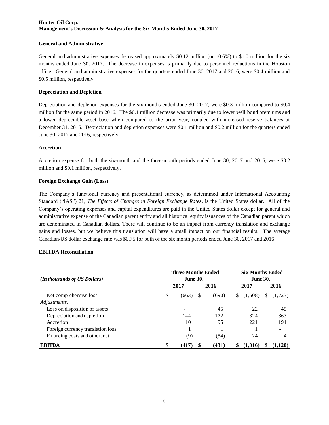#### **General and Administrative**

General and administrative expenses decreased approximately \$0.12 million (or 10.6%) to \$1.0 million for the six months ended June 30, 2017. The decrease in expenses is primarily due to personnel reductions in the Houston office. General and administrative expenses for the quarters ended June 30, 2017 and 2016, were \$0.4 million and \$0.5 million, respectively.

#### **Depreciation and Depletion**

Depreciation and depletion expenses for the six months ended June 30, 2017, were \$0.3 million compared to \$0.4 million for the same period in 2016. The \$0.1 million decrease was primarily due to lower well bond premiums and a lower depreciable asset base when compared to the prior year, coupled with increased reserve balances at December 31, 2016. Depreciation and depletion expenses were \$0.1 million and \$0.2 million for the quarters ended June 30, 2017 and 2016, respectively.

#### **Accretion**

Accretion expense for both the six-month and the three-month periods ended June 30, 2017 and 2016, were \$0.2 million and \$0.1 million, respectively.

#### **Foreign Exchange Gain (Loss)**

The Company's functional currency and presentational currency, as determined under International Accounting Standard ("IAS") 21, *The Effects of Changes in Foreign Exchange Rates*, is the United States dollar. All of the Company's operating expenses and capital expenditures are paid in the United States dollar except for general and administrative expense of the Canadian parent entity and all historical equity issuances of the Canadian parent which are denominated in Canadian dollars. There will continue to be an impact from currency translation and exchange gains and losses, but we believe this translation will have a small impact on our financial results. The average Canadian/US dollar exchange rate was \$0.75 for both of the six month periods ended June 30, 2017 and 2016.

#### **EBITDA Reconciliation**

| (In thousands of US Dollars)      | <b>Three Months Ended</b><br><b>June 30,</b> | <b>Six Months Ended</b><br><b>June 30,</b> |       |   |         |   |         |
|-----------------------------------|----------------------------------------------|--------------------------------------------|-------|---|---------|---|---------|
|                                   | 2017                                         |                                            | 2016  |   | 2017    |   | 2016    |
| Net comprehensive loss            | \$<br>(663)                                  | S                                          | (690) | S | (1,608) | S | (1,723) |
| Adjustments:                      |                                              |                                            |       |   |         |   |         |
| Loss on disposition of assets     |                                              |                                            | 45    |   | 22      |   | 45      |
| Depreciation and depletion        | 144                                          |                                            | 172   |   | 324     |   | 363     |
| Accretion                         | 110                                          |                                            | 95    |   | 221     |   | 191     |
| Foreign currency translation loss |                                              |                                            |       |   |         |   | ۰       |
| Financing costs and other, net    | (9)                                          |                                            | (54)  |   | 24      |   | 4       |
| <b>EBITDA</b>                     | \$<br>(417)                                  | S                                          | (431) | S | (1.016) |   | (1.120) |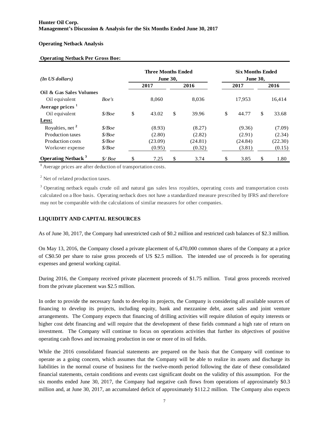# **Operating Netback Analysis**

# **Operating Netback Per Gross Boe:**

| (In <i>US</i> dollars)                | <b>Three Months Ended</b><br><b>June 30,</b> |             | <b>Six Months Ended</b><br><b>June 30,</b> |    |         |    |         |  |  |
|---------------------------------------|----------------------------------------------|-------------|--------------------------------------------|----|---------|----|---------|--|--|
|                                       |                                              | 2017        | 2016                                       |    | 2017    |    | 2016    |  |  |
| Oil & Gas Sales Volumes               |                                              |             |                                            |    |         |    |         |  |  |
| Oil equivalent                        | Boe's                                        | 8.060       | 8,036                                      |    | 17,953  |    | 16,414  |  |  |
| Average prices <sup>1</sup>           |                                              |             |                                            |    |         |    |         |  |  |
| Oil equivalent                        | \$/Boe                                       | \$<br>43.02 | \$<br>39.96                                | \$ | 44.77   | \$ | 33.68   |  |  |
| Less:                                 |                                              |             |                                            |    |         |    |         |  |  |
| Royalties, net <sup>2</sup>           | \$/Boe                                       | (8.93)      | (8.27)                                     |    | (9.36)  |    | (7.09)  |  |  |
| <b>Production taxes</b>               | \$/Boe\$                                     | (2.80)      | (2.82)                                     |    | (2.91)  |    | (2.34)  |  |  |
| Production costs                      | \$/Boe\$                                     | (23.09)     | (24.81)                                    |    | (24.84) |    | (22.30) |  |  |
| Workover expense                      | \$/Boe\$                                     | (0.95)      | (0.32)                                     |    | (3.81)  |    | (0.15)  |  |  |
| <b>Operating Netback</b> <sup>3</sup> | \$/Boe                                       | \$<br>7.25  | \$<br>3.74                                 | \$ | 3.85    | \$ | 1.80    |  |  |

**1** Average prices are after deduction of transportation costs.

<sup>2</sup> Net of related production taxes.

<sup>3</sup> Operating netback equals crude oil and natural gas sales less royalties, operating costs and transportation costs <sup>2</sup> Net of related production taxes.<br><sup>3</sup> Operating netback equals crude oil and natural gas sales less royalties, operating costs and transportation costs calculated on a Boe basis. Operating netback does not have a standa may not be comparable with the calculations of similar measures for other companies.

# **LIQUIDITY AND CAPITAL RESOURCES**

As of June 30, 2017, the Company had unrestricted cash of \$0.2 million and restricted cash balances of \$2.3 million.

On May 13, 2016, the Company closed a private placement of 6,470,000 common shares of the Company at a price of C\$0.50 per share to raise gross proceeds of US \$2.5 million. The intended use of proceeds is for operating expenses and general working capital.

During 2016, the Company received private placement proceeds of \$1.75 million. Total gross proceeds received from the private placement was \$2.5 million.

In order to provide the necessary funds to develop its projects, the Company is considering all available sources of financing to develop its projects, including equity, bank and mezzanine debt, asset sales and joint venture arrangements. The Company expects that financing of drilling activities will require dilution of equity interests or higher cost debt financing and will require that the development of these fields command a high rate of return on investment. The Company will continue to focus on operations activities that further its objectives of positive operating cash flows and increasing production in one or more of its oil fields.

While the 2016 consolidated financial statements are prepared on the basis that the Company will continue to operate as a going concern, which assumes that the Company will be able to realize its assets and discharge its liabilities in the normal course of business for the twelve-month period following the date of these consolidated financial statements, certain conditions and events cast significant doubt on the validity of this assumption. For the six months ended June 30, 2017, the Company had negative cash flows from operations of approximately \$0.3 million and, at June 30, 2017, an accumulated deficit of approximately \$112.2 million. The Company also expects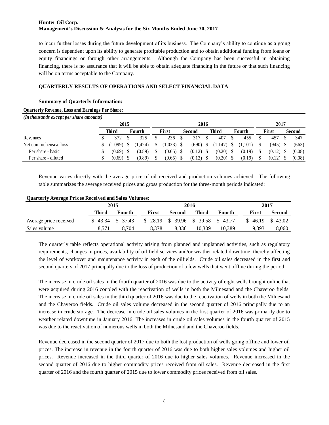to incur further losses during the future development of its business. The Company's ability to continue as a going concern is dependent upon its ability to generate profitable production and to obtain additional funding from loans or equity financings or through other arrangements. Although the Company has been successful in obtaining financing, there is no assurance that it will be able to obtain adequate financing in the future or that such financing will be on terms acceptable to the Company.

# **QUARTERLY RESULTS OF OPERATIONS AND SELECT FINANCIAL DATA**

# **Summary of Quarterly Information:**

# **Quarterly Revenue, Loss and Earnings Per Share:**

| (In thousands except per share amounts) |      |         |  |         |  |        |  |             |  |         |  |         |  |        |  |        |  |
|-----------------------------------------|------|---------|--|---------|--|--------|--|-------------|--|---------|--|---------|--|--------|--|--------|--|
|                                         | 2015 |         |  |         |  | 2016   |  |             |  |         |  |         |  | 2017   |  |        |  |
|                                         |      | Third   |  | Fourth  |  | First  |  | Second      |  | Third   |  | Fourth  |  | First  |  | Second |  |
| Revenues                                |      | 372     |  | 325     |  | 236    |  | 317         |  | 407     |  | 455     |  | 457    |  | 347    |  |
| Net comprehensive loss                  |      | (1.099) |  | (1.424) |  | 1,033  |  | $(690)$ \$  |  | (1,147) |  | (1,101) |  | (945)  |  | (663)  |  |
| Per share - basic                       |      | (0.69)  |  | (0.89)  |  | (0.65) |  | $(0.12)$ \$ |  | (0.20)  |  | (0.19)  |  | (0.12) |  | (0.08) |  |
| Per share - diluted                     |      | (0.69)  |  | (0.89)  |  | (0.65) |  | (0.12)      |  | (0.20)  |  | (0.19)  |  | (0.12) |  | (0.08) |  |

Revenue varies directly with the average price of oil received and production volumes achieved. The following table summarizes the average received prices and gross production for the three-month periods indicated:

#### **Quarterly Average Prices Received and Sales Volumes:**

|                        |       | 2015              |                                     | 2016          | 2017   |        |                       |        |
|------------------------|-------|-------------------|-------------------------------------|---------------|--------|--------|-----------------------|--------|
|                        | Third | Fourth            | First                               | <b>Second</b> | Third  | Fourth | First                 | Second |
| Average price received |       | $$43.34$ $$37.43$ | $$28.19$ \$ 39.96 \$ 39.58 \$ 43.77 |               |        |        | $$46.19 \quad $43.02$ |        |
| Sales volume           | 8.571 | 8.704             | 8.378                               | 8.036         | 10.309 | 10.389 | 9.893                 | 8.060  |

The quarterly table reflects operational activity arising from planned and unplanned activities, such as regulatory requirements, changes in prices, availability of oil field services and/or weather related downtime, thereby affecting the level of workover and maintenance activity in each of the oilfields. Crude oil sales decreased in the first and second quarters of 2017 principally due to the loss of production of a few wells that went offline during the period.

The increase in crude oil sales in the fourth quarter of 2016 was due to the activity of eight wells brought online that were acquired during 2016 coupled with the reactivation of wells in both the Milnesand and the Chaveroo fields. The increase in crude oil sales in the third quarter of 2016 was due to the reactivation of wells in both the Milnesand and the Chaveroo fields. Crude oil sales volume decreased in the second quarter of 2016 principally due to an increase in crude storage. The decrease in crude oil sales volumes in the first quarter of 2016 was primarily due to weather related downtime in January 2016. The increases in crude oil sales volumes in the fourth quarter of 2015 was due to the reactivation of numerous wells in both the Milnesand and the Chaveroo fields.

Revenue decreased in the second quarter of 2017 due to both the lost production of wells going offline and lower oil prices. The increase in revenue in the fourth quarter of 2016 was due to both higher sales volumes and higher oil prices. Revenue increased in the third quarter of 2016 due to higher sales volumes. Revenue increased in the second quarter of 2016 due to higher commodity prices received from oil sales. Revenue decreased in the first quarter of 2016 and the fourth quarter of 2015 due to lower commodity prices received from oil sales.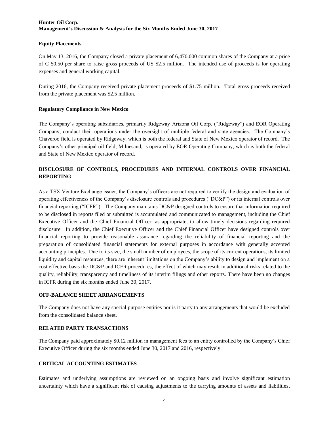### **Equity Placements**

On May 13, 2016, the Company closed a private placement of 6,470,000 common shares of the Company at a price of C \$0.50 per share to raise gross proceeds of US \$2.5 million. The intended use of proceeds is for operating expenses and general working capital.

During 2016, the Company received private placement proceeds of \$1.75 million. Total gross proceeds received from the private placement was \$2.5 million.

#### **Regulatory Compliance in New Mexico**

The Company's operating subsidiaries, primarily Ridgeway Arizona Oil Corp. ("Ridgeway") and EOR Operating Company, conduct their operations under the oversight of multiple federal and state agencies. The Company's Chaveroo field is operated by Ridgeway, which is both the federal and State of New Mexico operator of record. The Company's other principal oil field, Milnesand, is operated by EOR Operating Company, which is both the federal and State of New Mexico operator of record.

# **DISCLOSURE OF CONTROLS, PROCEDURES AND INTERNAL CONTROLS OVER FINANCIAL REPORTING**

As a TSX Venture Exchange issuer, the Company's officers are not required to certify the design and evaluation of operating effectiveness of the Company's disclosure controls and procedures ("DC&P") or its internal controls over financial reporting ("ICFR"). The Company maintains DC&P designed controls to ensure that information required to be disclosed in reports filed or submitted is accumulated and communicated to management, including the Chief Executive Officer and the Chief Financial Officer, as appropriate, to allow timely decisions regarding required disclosure. In addition, the Chief Executive Officer and the Chief Financial Officer have designed controls over financial reporting to provide reasonable assurance regarding the reliability of financial reporting and the preparation of consolidated financial statements for external purposes in accordance with generally accepted accounting principles. Due to its size, the small number of employees, the scope of its current operations, its limited liquidity and capital resources, there are inherent limitations on the Company's ability to design and implement on a cost effective basis the DC&P and ICFR procedures, the effect of which may result in additional risks related to the quality, reliability, transparency and timeliness of its interim filings and other reports. There have been no changes in ICFR during the six months ended June 30, 2017.

#### **OFF-BALANCE SHEET ARRANGEMENTS**

The Company does not have any special purpose entities nor is it party to any arrangements that would be excluded from the consolidated balance sheet.

# **RELATED PARTY TRANSACTIONS**

The Company paid approximately \$0.12 million in management fees to an entity controlled by the Company's Chief Executive Officer during the six months ended June 30, 2017 and 2016, respectively.

# **CRITICAL ACCOUNTING ESTIMATES**

Estimates and underlying assumptions are reviewed on an ongoing basis and involve significant estimation uncertainty which have a significant risk of causing adjustments to the carrying amounts of assets and liabilities.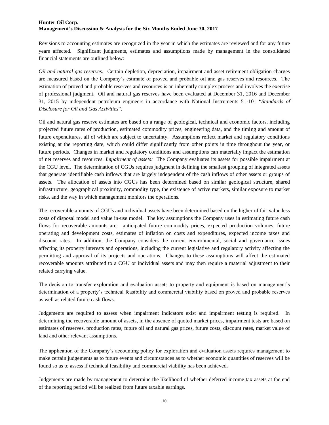Revisions to accounting estimates are recognized in the year in which the estimates are reviewed and for any future years affected. Significant judgments, estimates and assumptions made by management in the consolidated financial statements are outlined below:

*Oil and natural gas reserves:* Certain depletion, depreciation, impairment and asset retirement obligation charges are measured based on the Company's estimate of proved and probable oil and gas reserves and resources. The estimation of proved and probable reserves and resources is an inherently complex process and involves the exercise of professional judgment. Oil and natural gas reserves have been evaluated at December 31, 2016 and December 31, 2015 by independent petroleum engineers in accordance with National Instruments 51-101 "*Standards of Disclosure for Oil and Gas Activities*".

Oil and natural gas reserve estimates are based on a range of geological, technical and economic factors, including projected future rates of production, estimated commodity prices, engineering data, and the timing and amount of future expenditures, all of which are subject to uncertainty. Assumptions reflect market and regulatory conditions existing at the reporting date, which could differ significantly from other points in time throughout the year, or future periods. Changes in market and regulatory conditions and assumptions can materially impact the estimation of net reserves and resources. *Impairment of assets:* The Company evaluates its assets for possible impairment at the CGU level. The determination of CGUs requires judgment in defining the smallest grouping of integrated assets that generate identifiable cash inflows that are largely independent of the cash inflows of other assets or groups of assets. The allocation of assets into CGUs has been determined based on similar geological structure, shared infrastructure, geographical proximity, commodity type, the existence of active markets, similar exposure to market risks, and the way in which management monitors the operations.

The recoverable amounts of CGUs and individual assets have been determined based on the higher of fair value less costs of disposal model and value in-use model. The key assumptions the Company uses in estimating future cash flows for recoverable amounts are: anticipated future commodity prices, expected production volumes, future operating and development costs, estimates of inflation on costs and expenditures, expected income taxes and discount rates. In addition, the Company considers the current environmental, social and governance issues affecting its property interests and operations, including the current legislative and regulatory activity affecting the permitting and approval of its projects and operations. Changes to these assumptions will affect the estimated recoverable amounts attributed to a CGU or individual assets and may then require a material adjustment to their related carrying value.

The decision to transfer exploration and evaluation assets to property and equipment is based on management's determination of a property's technical feasibility and commercial viability based on proved and probable reserves as well as related future cash flows.

Judgements are required to assess when impairment indicators exist and impairment testing is required. In determining the recoverable amount of assets, in the absence of quoted market prices, impairment tests are based on estimates of reserves, production rates, future oil and natural gas prices, future costs, discount rates, market value of land and other relevant assumptions.

The application of the Company's accounting policy for exploration and evaluation assets requires management to make certain judgements as to future events and circumstances as to whether economic quantities of reserves will be found so as to assess if technical feasibility and commercial viability has been achieved.

Judgements are made by management to determine the likelihood of whether deferred income tax assets at the end of the reporting period will be realized from future taxable earnings.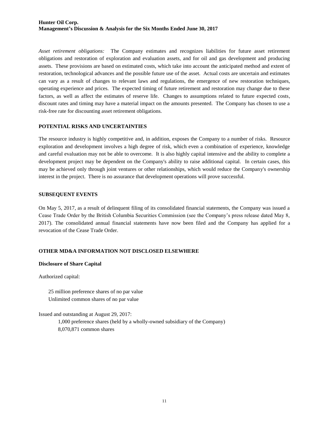*Asset retirement obligations:* The Company estimates and recognizes liabilities for future asset retirement obligations and restoration of exploration and evaluation assets, and for oil and gas development and producing assets. These provisions are based on estimated costs, which take into account the anticipated method and extent of restoration, technological advances and the possible future use of the asset. Actual costs are uncertain and estimates can vary as a result of changes to relevant laws and regulations, the emergence of new restoration techniques, operating experience and prices. The expected timing of future retirement and restoration may change due to these factors, as well as affect the estimates of reserve life. Changes to assumptions related to future expected costs, discount rates and timing may have a material impact on the amounts presented. The Company has chosen to use a risk-free rate for discounting asset retirement obligations.

# **POTENTIAL RISKS AND UNCERTAINTIES**

The resource industry is highly competitive and, in addition, exposes the Company to a number of risks. Resource exploration and development involves a high degree of risk, which even a combination of experience, knowledge and careful evaluation may not be able to overcome. It is also highly capital intensive and the ability to complete a development project may be dependent on the Company's ability to raise additional capital. In certain cases, this may be achieved only through joint ventures or other relationships, which would reduce the Company's ownership interest in the project. There is no assurance that development operations will prove successful.

#### **SUBSEQUENT EVENTS**

On May 5, 2017, as a result of delinquent filing of its consolidated financial statements, the Company was issued a Cease Trade Order by the British Columbia Securities Commission (see the Company's press release dated May 8, 2017). The consolidated annual financial statements have now been filed and the Company has applied for a revocation of the Cease Trade Order.

# **OTHER MD&A INFORMATION NOT DISCLOSED ELSEWHERE**

# **Disclosure of Share Capital**

Authorized capital:

25 million preference shares of no par value Unlimited common shares of no par value

Issued and outstanding at August 29, 2017:

1,000 preference shares (held by a wholly-owned subsidiary of the Company) 8,070,871 common shares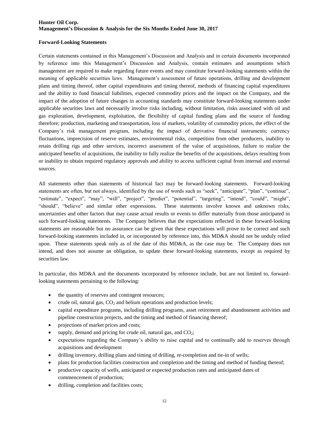#### **Forward-Looking Statements**

Certain statements contained in this Management's Discussion and Analysis and in certain documents incorporated by reference into this Management's Discussion and Analysis, contain estimates and assumptions which management are required to make regarding future events and may constitute forward-looking statements within the meaning of applicable securities laws. Management's assessment of future operations, drilling and development plans and timing thereof, other capital expenditures and timing thereof, methods of financing capital expenditures and the ability to fund financial liabilities, expected commodity prices and the impact on the Company, and the impact of the adoption of future changes in accounting standards may constitute forward-looking statements under applicable securities laws and necessarily involve risks including, without limitation, risks associated with oil and gas exploration, development, exploitation, the flexibility of capital funding plans and the source of funding therefore; production, marketing and transportation, loss of markets, volatility of commodity prices, the effect of the Company's risk management program, including the impact of derivative financial instruments; currency fluctuations, imprecision of reserve estimates, environmental risks, competition from other producers, inability to retain drilling rigs and other services, incorrect assessment of the value of acquisitions, failure to realize the anticipated benefits of acquisitions, the inability to fully realize the benefits of the acquisitions, delays resulting from or inability to obtain required regulatory approvals and ability to access sufficient capital from internal and external sources.

All statements other than statements of historical fact may be forward-looking statements. Forward-looking statements are often, but not always, identified by the use of words such as "seek", "anticipate", "plan", "continue", "estimate", "expect", "may", "will", "project", "predict", "potential", "targeting", "intend", "could", "might", "should", "believe" and similar other expressions. These statements involve known and unknown risks, uncertainties and other factors that may cause actual results or events to differ materially from those anticipated in such forward-looking statements. The Company believes that the expectations reflected in these forward-looking statements are reasonable but no assurance can be given that these expectations will prove to be correct and such forward-looking statements included in, or incorporated by reference into, this MD&A should not be unduly relied upon. These statements speak only as of the date of this MD&A, as the case may be. The Company does not intend, and does not assume an obligation, to update these forward-looking statements, except as required by securities law.

In particular, this MD&A and the documents incorporated by reference include, but are not limited to, forwardlooking statements pertaining to the following:

- the quantity of reserves and contingent resources;
- crude oil, natural gas,  $CO<sub>2</sub>$  and helium operations and production levels;
- capital expenditure programs, including drilling programs, asset retirement and abandonment activities and pipeline construction projects, and the timing and method of financing thereof;
- projections of market prices and costs;
- supply, demand and pricing for crude oil, natural gas, and  $CO_2$ ;
- expectations regarding the Company's ability to raise capital and to continually add to reserves through acquisitions and development
- drilling inventory, drilling plans and timing of drilling, re-completion and tie-in of wells;
- plans for production facilities construction and completion and the timing and method of funding thereof;
- productive capacity of wells, anticipated or expected production rates and anticipated dates of commencement of production;
- drilling, completion and facilities costs;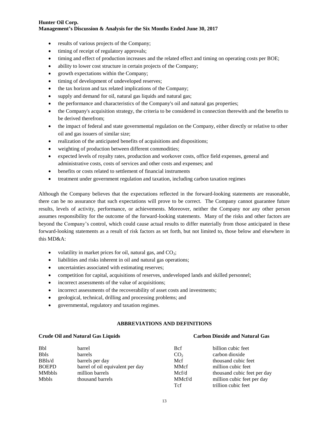- results of various projects of the Company;
- timing of receipt of regulatory approvals;
- timing and effect of production increases and the related effect and timing on operating costs per BOE;
- ability to lower cost structure in certain projects of the Company;
- growth expectations within the Company;
- $\bullet$  timing of development of undeveloped reserves;
- the tax horizon and tax related implications of the Company;
- supply and demand for oil, natural gas liquids and natural gas;
- the performance and characteristics of the Company's oil and natural gas properties;
- the Company's acquisition strategy, the criteria to be considered in connection therewith and the benefits to be derived therefrom;
- the impact of federal and state governmental regulation on the Company, either directly or relative to other oil and gas issuers of similar size;
- realization of the anticipated benefits of acquisitions and dispositions;
- weighting of production between different commodities;
- expected levels of royalty rates, production and workover costs, office field expenses, general and administrative costs, costs of services and other costs and expenses; and
- benefits or costs related to settlement of financial instruments
- treatment under government regulation and taxation, including carbon taxation regimes

Although the Company believes that the expectations reflected in the forward-looking statements are reasonable, there can be no assurance that such expectations will prove to be correct. The Company cannot guarantee future results, levels of activity, performance, or achievements. Moreover, neither the Company nor any other person assumes responsibility for the outcome of the forward-looking statements. Many of the risks and other factors are beyond the Company's control, which could cause actual results to differ materially from those anticipated in these forward-looking statements as a result of risk factors as set forth, but not limited to, those below and elsewhere in this MD&A:

- volatility in market prices for oil, natural gas, and  $CO_2$ ;
- liabilities and risks inherent in oil and natural gas operations;
- uncertainties associated with estimating reserves;
- competition for capital, acquisitions of reserves, undeveloped lands and skilled personnel;
- incorrect assessments of the value of acquisitions;
- incorrect assessments of the recoverability of asset costs and investments;
- geological, technical, drilling and processing problems; and
- governmental, regulatory and taxation regimes.

#### **ABBREVIATIONS AND DEFINITIONS**

#### **Crude Oil and Natural Gas Liquids Carbon Dioxide and Natural Gas**

| <b>Bbl</b>    | barrel                           | <b>B</b> cf     | billion cubic feet          |
|---------------|----------------------------------|-----------------|-----------------------------|
| <b>Bbls</b>   | <b>barrels</b>                   | CO <sub>2</sub> | carbon dioxide              |
| BBls/d        | barrels per day                  | Mcf             | thousand cubic feet         |
| <b>BOEPD</b>  | barrel of oil equivalent per day | <b>MMcf</b>     | million cubic feet          |
| <b>MMbbls</b> | million barrels                  | Mcf/d           | thousand cubic feet per day |
| Mbbls         | thousand barrels                 | MMcf/d          | million cubic feet per day  |
|               |                                  | <b>T</b> cf     | trillion cubic feet         |